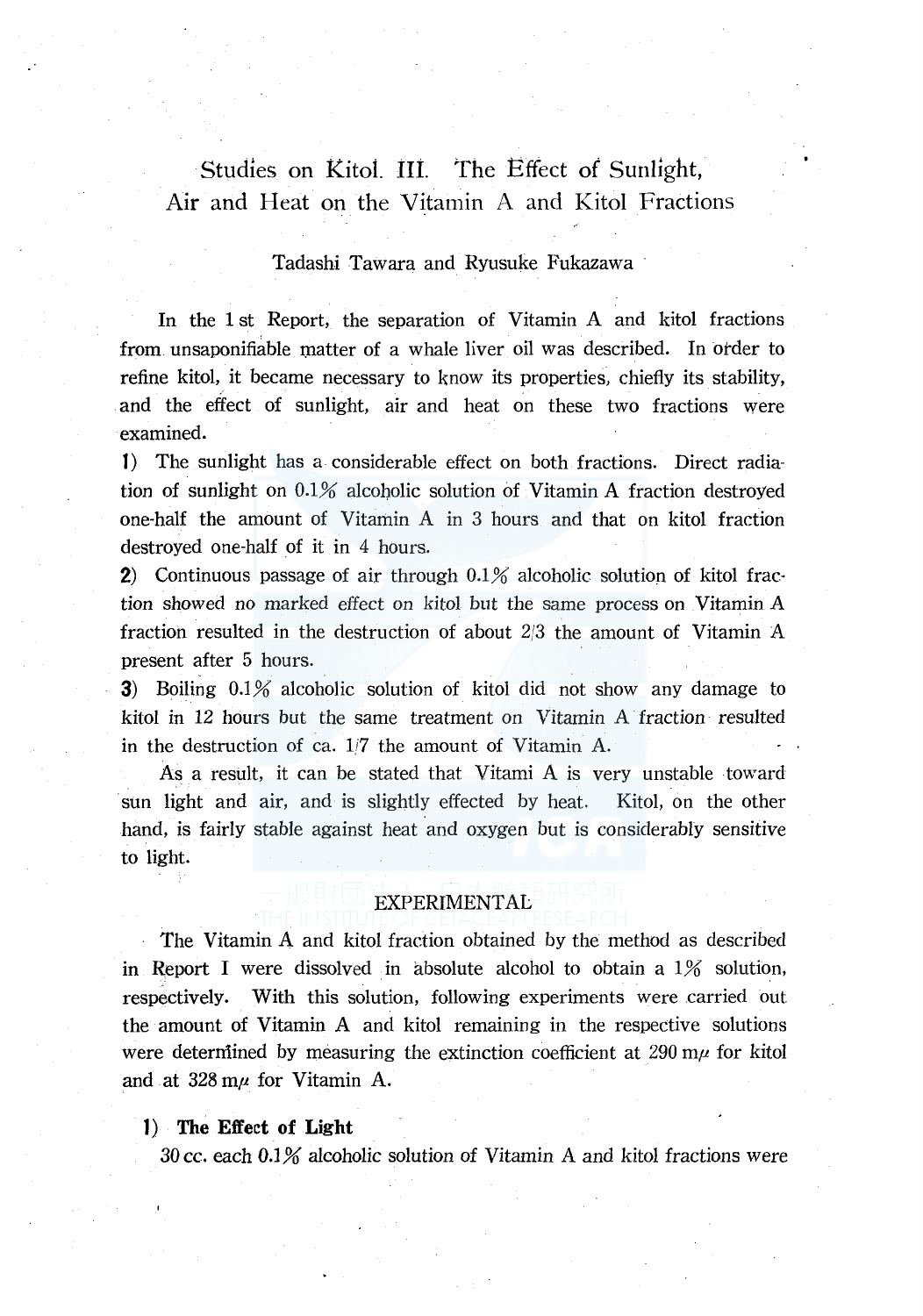# Studies on Kitol. II1. *The* Effect of Sunlight, Air and Heat on the Vitamin A and Kitol Fractions

## Tadashi Tawara and Ryusuke Fukazawa

In the 1 st Report, the separation of Vitamin A and kitol fractions from unsaponifiable matter of a whale liver oil was described. In order to refine kitol, it became necessary to know its properties, chiefly its stability, and the effect of sunlight, air and heat on these two fractions were examined.

**1)** The sunlight has a. considerable effect on both fractions. Direct radiation of sunlight on  $0.1\%$  alcoholic solution of Vitamin A fraction destroyed one-half the amount of Vitamin A in 3 hours and that on kitol fraction destroyed one-half of it in 4 hours.

**2)** Continuous passage of air through 0.1% alcoholic solution of kitol fraction showed no marked effect on kitol but the same process on Vitamin A fraction resulted in the destruction of about 2/3 the amount of Vitamin A present after 5 hours.

**3)** Boiling 0.1% alcoholic solution of kitol did not show any damage to kitol in 12 hours but the same treatment on Vitamin A fraction resulted in the destruction of ea. *li7* the amount of Vitamin A.

As a result, it can be stated that Vitami A is very unstable toward sun light and air, and is slightly effected by heat. Kitol, on the other hand, is fairly stable against heat and oxygen but is considerably sensitive to light.

## EXPERIMENTAL

The Vitamin A and kitol fraction obtained by the method as described in Report I were dissolved in absolute alcohol to obtain a  $1\%$  solution, respectively. With this solution, following experiments were carried out the amount of Vitamin A and kitol remaining in the respective solutions were determined by measuring the extinction coefficient at  $290 \text{ m}\mu$  for kitol and at  $328 \text{ m} \mu$  for Vitamin A.

#### **1) The Effect of Light**

30 cc. each 0.1% alcoholic solution of Vitamin A and kitol fractions were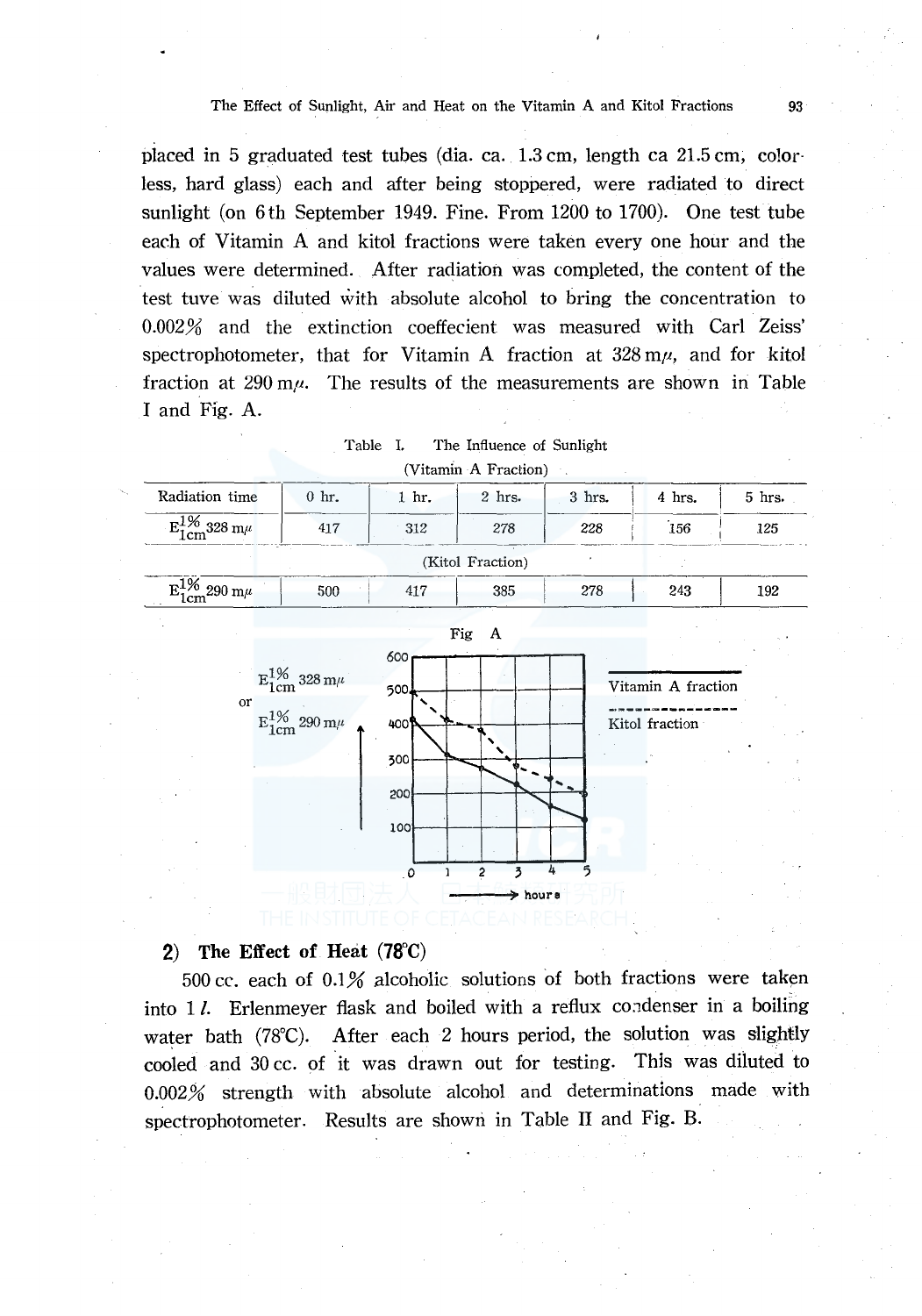#### The Effect of Sunlight, Air and Heat on the Vitamin A and Kitol Fractions 93

placed in 5 graduated test tubes (dia. ea. 1.3 cm, length ea 21.5 cm; co!orless, hard glass) each and after being stoppered, were radiated to direct sunlight (on 6th September 1949. Fine. From 1200 to 1700). One test tube each of Vitamin A and kitol fractions were taken every one hour and the values were determined. After radiation was completed, the content of the test tuve was diluted with absolute alcohol to bring the concentration to 0.002% and the extinction coeffecient was measured with Carl Zeiss' spectrophotometer, that for Vitamin A fraction at  $328 \text{ m}\mu$ , and for kitol fraction at 290 m $\mu$ . The results of the measurements are shown in Table I and Fig. A.

Table I. The Influence of Sunlight

|                                      |                                                                              |                                        | (Vitamin A Fraction). |        |                                      |        |
|--------------------------------------|------------------------------------------------------------------------------|----------------------------------------|-----------------------|--------|--------------------------------------|--------|
| Radiation time                       | $0$ hr.                                                                      | 1 hr.                                  | $2$ hrs.              | 3 hrs. | 4 hrs.                               | 5 hrs. |
| $\mathrm{E_{1cm}^{1\%}}$ 328 m $\mu$ | 417                                                                          | 312                                    | 278                   | 228    | 156                                  | 125    |
|                                      |                                                                              |                                        | (Kitol Fraction)      |        |                                      |        |
| $E_{1cm}^{1\%}$ 290 m $\mu$          | 500                                                                          | 417                                    | 385                   | 278    | 243                                  | 192    |
| or                                   | $\mathrm{E_{1cm}^{1\%}}$ 328 m $\mu$<br>$\mathrm{E_{1cm}^{1\%}}$ 290 m $\mu$ | 600<br>500<br>400<br>500<br>200<br>100 | Fig<br>A              |        | Vitamin A fraction<br>Kitol fraction |        |
|                                      |                                                                              | $\circ$                                | 3<br>2<br>> hours     | 4<br>ร |                                      |        |

#### **2) The Effect of Heat (78°C)**

500 cc. each of  $0.1\%$  alcoholic solutions of both fractions were taken into  $1$ . Erlenmeyer flask and boiled with a reflux condenser in a boiling water bath (78°C). After each 2 hours period, the solution was slightly cooled and 30 cc. of it was drawn out for testing. This was diluted to 0.002% strength with absolute alcohol and determinations made with spectrophotometer. Results are shown in Table II and Fig. B.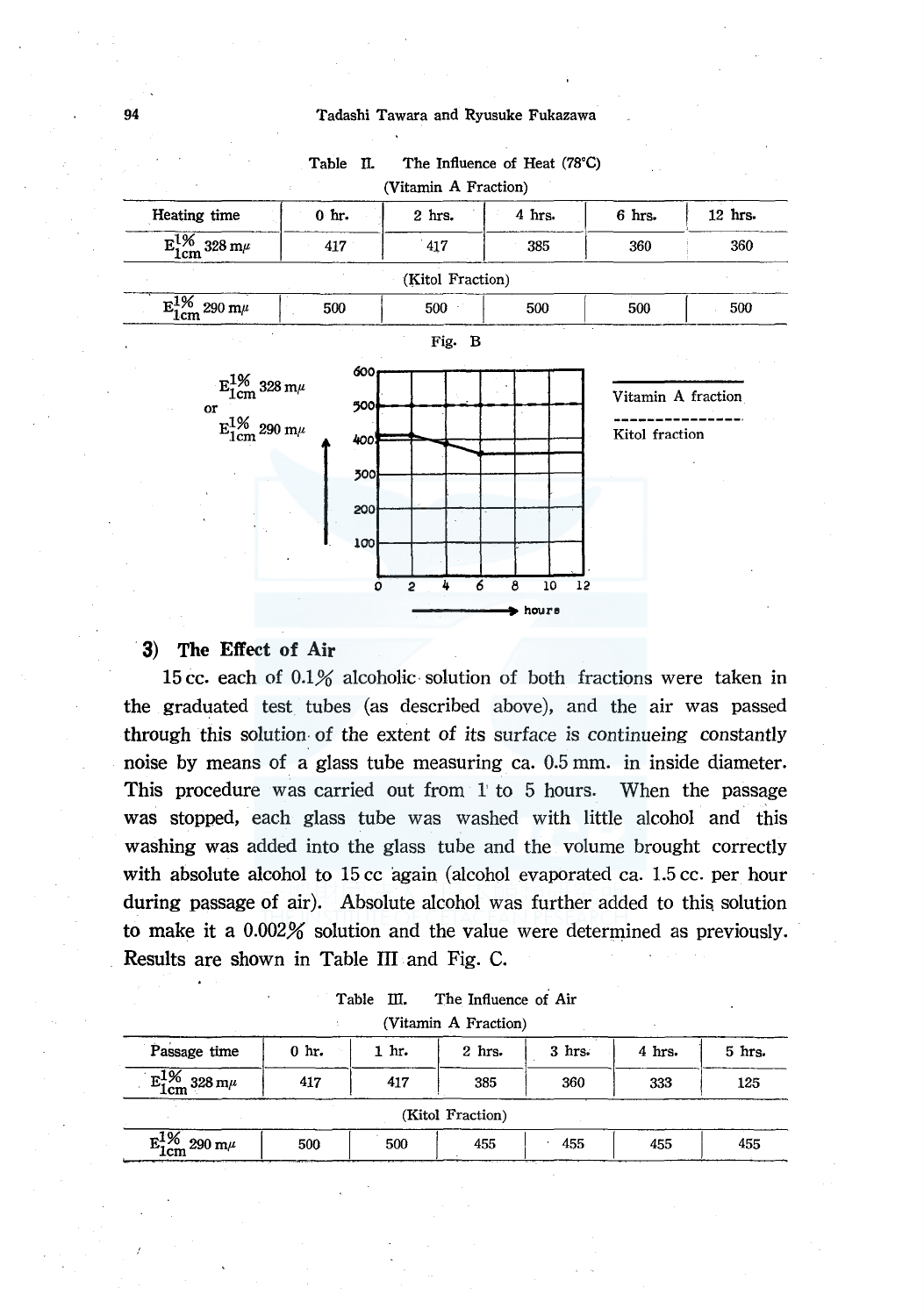#### 94 Tadashi Tawara and Ryusuke Fukazawa



# Table II. The Influence of Heat (78°C)

### **3) The Effect of Air**

15 cc. each of 0.1% alcoholic· solution of both fractions were taken in the graduated test tubes (as described above), and the air was passed through this solution. of the extent of its surface is continueing constantly noise by means of a glass tube measuring ea. 0.5 mm. in inside diameter. This procedure was carried out from 1 to 5 hours. When the passage was stopped, each glass tube was washed with little alcohol and this washing was added into the glass tube and the volume brought correctly with absolute alcohol to 15 cc again (alcohol evaporated ca. 1.5 cc. per hour during passage of air). Absolute alcohol was further added to this solution to make it a  $0.002\%$  solution and the value were determined as previously. Results are shown in Table III and Fig. C.

| Table III. |  | The Influence of Air |  |
|------------|--|----------------------|--|
|            |  | (Vitamin A Fraction) |  |

| Passage time                         | $0 \text{ hr.}$ | 1 hr. | 2 hrs.           | $3$ hrs. | 4 hrs. | 5 hrs. |
|--------------------------------------|-----------------|-------|------------------|----------|--------|--------|
| $E_{1cm}^{1\%}$ 328 m $\mu$          | 417             | 417   | 385              | 360      | 333    | 125    |
|                                      |                 |       | (Kitol Fraction) |          |        |        |
| $\mathrm{E_{1cm}^{1}\%}$ 290 m $\mu$ | 500             | 500   | 455              | 455      | 455    | 455    |